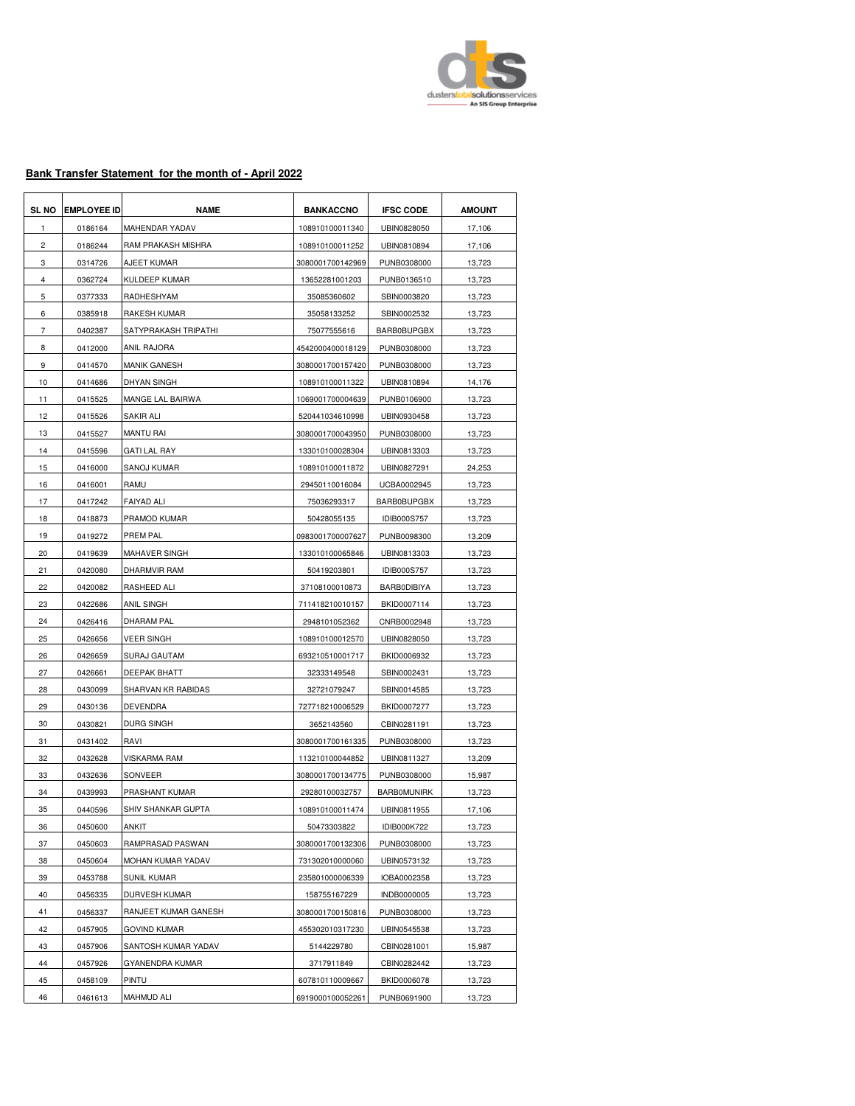

## **Bank Transfer Statement for the month of - April 2022**

| <b>SL NO</b>   | <b>EMPLOYEE ID</b> | <b>NAME</b>           | <b>BANKACCNO</b> | <b>IFSC CODE</b>   | <b>AMOUNT</b> |
|----------------|--------------------|-----------------------|------------------|--------------------|---------------|
| 1              | 0186164            | <b>MAHENDAR YADAV</b> | 108910100011340  | UBIN0828050        | 17,106        |
| 2              | 0186244            | RAM PRAKASH MISHRA    | 108910100011252  | UBIN0810894        | 17,106        |
| 3              | 0314726            | AJEET KUMAR           | 3080001700142969 | PUNB0308000        | 13,723        |
| 4              | 0362724            | <b>KULDEEP KUMAR</b>  | 13652281001203   | PUNB0136510        | 13,723        |
| 5              | 0377333            | RADHESHYAM            | 35085360602      | SBIN0003820        | 13,723        |
| 6              | 0385918            | <b>RAKESH KUMAR</b>   | 35058133252      | SBIN0002532        | 13,723        |
| $\overline{7}$ | 0402387            | SATYPRAKASH TRIPATHI  | 75077555616      | <b>BARB0BUPGBX</b> | 13,723        |
| 8              | 0412000            | <b>ANIL RAJORA</b>    | 4542000400018129 | PUNB0308000        | 13,723        |
| 9              | 0414570            | <b>MANIK GANESH</b>   | 3080001700157420 | PUNB0308000        | 13,723        |
| 10             | 0414686            | <b>DHYAN SINGH</b>    | 108910100011322  | UBIN0810894        | 14,176        |
| 11             | 0415525            | MANGE LAL BAIRWA      | 1069001700004639 | PUNB0106900        | 13,723        |
| 12             | 0415526            | SAKIR ALI             | 520441034610998  | UBIN0930458        | 13,723        |
| 13             | 0415527            | MANTU RAI             | 3080001700043950 | PUNB0308000        | 13,723        |
| 14             | 0415596            | GATI LAL RAY          | 133010100028304  | UBIN0813303        | 13,723        |
| 15             | 0416000            | SANOJ KUMAR           | 108910100011872  | UBIN0827291        | 24,253        |
| 16             | 0416001            | RAMU                  | 29450110016084   | UCBA0002945        | 13,723        |
| 17             | 0417242            | <b>FAIYAD ALI</b>     | 75036293317      | <b>BARB0BUPGBX</b> | 13,723        |
| 18             | 0418873            | PRAMOD KUMAR          | 50428055135      | <b>IDIB000S757</b> | 13,723        |
| 19             | 0419272            | PREM PAL              | 0983001700007627 | PUNB0098300        | 13,209        |
| 20             | 0419639            | MAHAVER SINGH         | 133010100065846  | UBIN0813303        | 13,723        |
| 21             | 0420080            | DHARMVIR RAM          | 50419203801      | <b>IDIB000S757</b> | 13,723        |
| 22             | 0420082            | RASHEED ALI           | 37108100010873   | <b>BARBODIBIYA</b> | 13,723        |
| 23             | 0422686            | ANIL SINGH            | 711418210010157  | BKID0007114        | 13,723        |
| 24             | 0426416            | DHARAM PAL            | 2948101052362    | CNRB0002948        | 13,723        |
| 25             | 0426656            | VEER SINGH            | 108910100012570  | UBIN0828050        | 13,723        |
| 26             | 0426659            | SURAJ GAUTAM          | 693210510001717  | BKID0006932        | 13,723        |
| 27             | 0426661            | DEEPAK BHATT          | 32333149548      | SBIN0002431        | 13,723        |
| 28             | 0430099            | SHARVAN KR RABIDAS    | 32721079247      | SBIN0014585        | 13,723        |
| 29             | 0430136            | <b>DEVENDRA</b>       | 727718210006529  | BKID0007277        | 13,723        |
| 30             | 0430821            | <b>DURG SINGH</b>     | 3652143560       | CBIN0281191        | 13,723        |
| 31             | 0431402            | RAVI                  | 3080001700161335 | PUNB0308000        | 13,723        |
| 32             | 0432628            | <b>VISKARMA RAM</b>   | 113210100044852  | UBIN0811327        | 13,209        |
| 33             | 0432636            | SONVEER               | 3080001700134775 | PUNB0308000        | 15,987        |
| 34             | 0439993            | PRASHANT KUMAR        | 29280100032757   | <b>BARBOMUNIRK</b> | 13,723        |
| 35             | 0440596            | SHIV SHANKAR GUPTA    | 108910100011474  | UBIN0811955        | 17,106        |
| 36             | 0450600            | ANKIT                 | 50473303822      | IDIB000K722        | 13,723        |
| 37             | 0450603            | RAMPRASAD PASWAN      | 3080001700132306 | PUNB0308000        | 13,723        |
| 38             | 0450604            | MOHAN KUMAR YADAV     | 731302010000060  | UBIN0573132        | 13,723        |
| 39             | 0453788            | <b>SUNIL KUMAR</b>    | 235801000006339  | IOBA0002358        | 13,723        |
| 40             | 0456335            | <b>DURVESH KUMAR</b>  | 158755167229     | INDB0000005        | 13,723        |
| 41             | 0456337            | RANJEET KUMAR GANESH  | 3080001700150816 | PUNB0308000        | 13,723        |
| 42             | 0457905            | <b>GOVIND KUMAR</b>   | 455302010317230  | UBIN0545538        | 13,723        |
| 43             | 0457906            | SANTOSH KUMAR YADAV   | 5144229780       | CBIN0281001        | 15,987        |
| 44             | 0457926            | GYANENDRA KUMAR       | 3717911849       | CBIN0282442        | 13,723        |
| 45             | 0458109            | PINTU                 | 607810110009667  | BKID0006078        | 13,723        |
| 46             | 0461613            | MAHMUD ALI            | 6919000100052261 | PUNB0691900        | 13,723        |
|                |                    |                       |                  |                    |               |